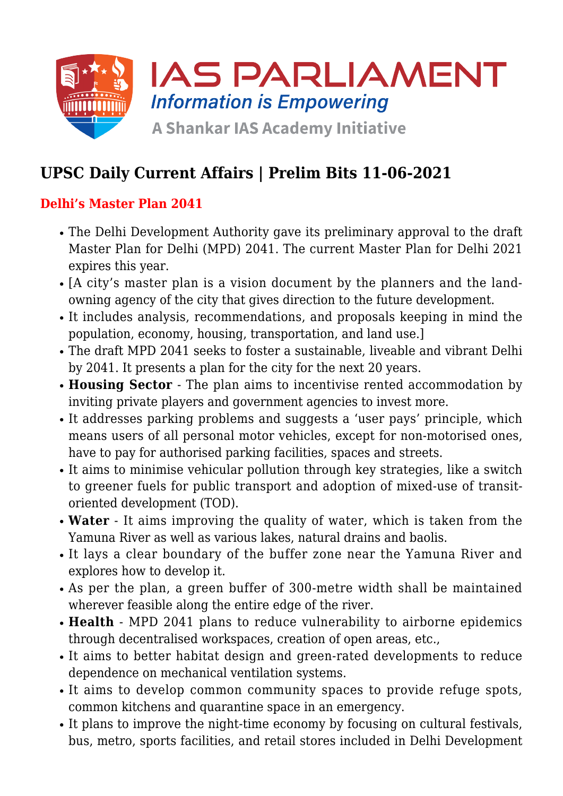

# **UPSC Daily Current Affairs | Prelim Bits 11-06-2021**

## **Delhi's Master Plan 2041**

- The Delhi Development Authority gave its preliminary approval to the draft Master Plan for Delhi (MPD) 2041. The current Master Plan for Delhi 2021 expires this year.
- [A city's master plan is a vision document by the planners and the landowning agency of the city that gives direction to the future development.
- It includes analysis, recommendations, and proposals keeping in mind the population, economy, housing, transportation, and land use.]
- The draft MPD 2041 seeks to foster a sustainable, liveable and vibrant Delhi by 2041. It presents a plan for the city for the next 20 years.
- **Housing Sector**  The plan aims to incentivise rented accommodation by inviting private players and government agencies to invest more.
- It addresses parking problems and suggests a 'user pays' principle, which means users of all personal motor vehicles, except for non-motorised ones, have to pay for authorised parking facilities, spaces and streets.
- It aims to minimise vehicular pollution through key strategies, like a switch to greener fuels for public transport and adoption of mixed-use of transitoriented development (TOD).
- **Water** It aims improving the quality of water, which is taken from the Yamuna River as well as various lakes, natural drains and baolis.
- It lays a clear boundary of the buffer zone near the Yamuna River and explores how to develop it.
- As per the plan, a green buffer of 300-metre width shall be maintained wherever feasible along the entire edge of the river.
- **Health** MPD 2041 plans to reduce vulnerability to airborne epidemics through decentralised workspaces, creation of open areas, etc.,
- It aims to better habitat design and green-rated developments to reduce dependence on mechanical ventilation systems.
- It aims to develop common community spaces to provide refuge spots, common kitchens and quarantine space in an emergency.
- It plans to improve the night-time economy by focusing on cultural festivals, bus, metro, sports facilities, and retail stores included in Delhi Development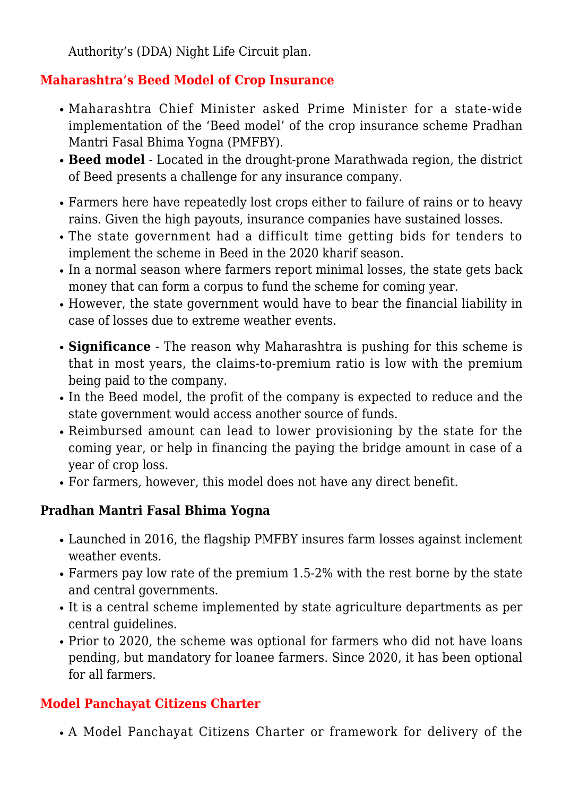Authority's (DDA) Night Life Circuit plan.

## **Maharashtra's Beed Model of Crop Insurance**

- Maharashtra Chief Minister asked Prime Minister for a state-wide implementation of the 'Beed model' of the crop insurance scheme Pradhan Mantri Fasal Bhima Yogna (PMFBY).
- **Beed model** Located in the drought-prone Marathwada region, the district of Beed presents a challenge for any insurance company.
- Farmers here have repeatedly lost crops either to failure of rains or to heavy rains. Given the high payouts, insurance companies have sustained losses.
- The state government had a difficult time getting bids for tenders to implement the scheme in Beed in the 2020 kharif season.
- In a normal season where farmers report minimal losses, the state gets back money that can form a corpus to fund the scheme for coming year.
- However, the state government would have to bear the financial liability in case of losses due to extreme weather events.
- **Significance** The reason why Maharashtra is pushing for this scheme is that in most years, the claims-to-premium ratio is low with the premium being paid to the company.
- In the Beed model, the profit of the company is expected to reduce and the state government would access another source of funds.
- Reimbursed amount can lead to lower provisioning by the state for the coming year, or help in financing the paying the bridge amount in case of a year of crop loss.
- For farmers, however, this model does not have any direct benefit.

## **Pradhan Mantri Fasal Bhima Yogna**

- Launched in 2016, the flagship PMFBY insures farm losses against inclement weather events.
- Farmers pay low rate of the premium 1.5-2% with the rest borne by the state and central governments.
- It is a central scheme implemented by state agriculture departments as per central guidelines.
- Prior to 2020, the scheme was optional for farmers who did not have loans pending, but mandatory for loanee farmers. Since 2020, it has been optional for all farmers.

## **Model Panchayat Citizens Charter**

A Model Panchayat Citizens Charter or framework for delivery of the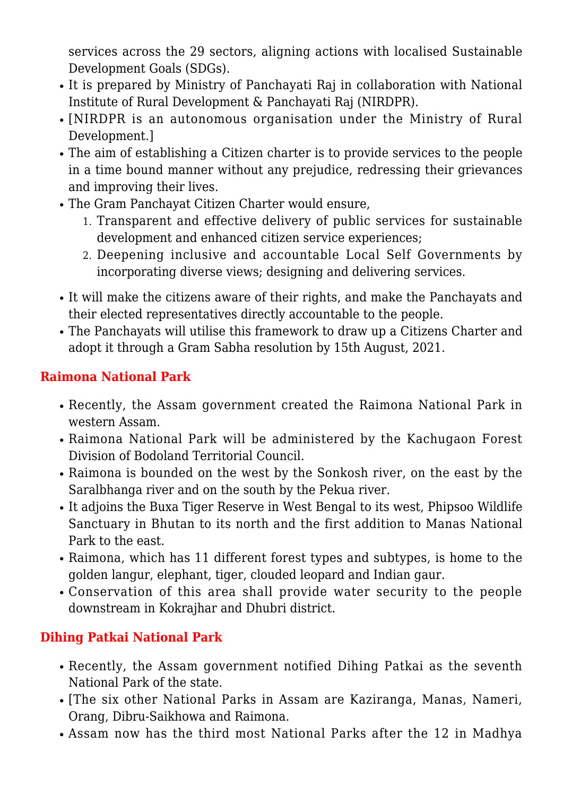services across the 29 sectors, aligning actions with localised Sustainable Development Goals (SDGs).

- It is prepared by Ministry of Panchayati Raj in collaboration with National Institute of Rural Development & Panchayati Raj (NIRDPR).
- [NIRDPR is an autonomous organisation under the Ministry of Rural Development.]
- The aim of establishing a Citizen charter is to provide services to the people in a time bound manner without any prejudice, redressing their grievances and improving their lives.
- The Gram Panchayat Citizen Charter would ensure,
	- 1. Transparent and effective delivery of public services for sustainable development and enhanced citizen service experiences;
	- 2. Deepening inclusive and accountable Local Self Governments by incorporating diverse views; designing and delivering services.
- It will make the citizens aware of their rights, and make the Panchayats and their elected representatives directly accountable to the people.
- The Panchayats will utilise this framework to draw up a Citizens Charter and adopt it through a Gram Sabha resolution by 15th August, 2021.

#### **Raimona National Park**

- Recently, the Assam government created the Raimona National Park in western Assam.
- Raimona National Park will be administered by the Kachugaon Forest Division of Bodoland Territorial Council.
- Raimona is bounded on the west by the Sonkosh river, on the east by the Saralbhanga river and on the south by the Pekua river.
- It adjoins the Buxa Tiger Reserve in West Bengal to its west, Phipsoo Wildlife Sanctuary in Bhutan to its north and the first addition to Manas National Park to the east.
- Raimona, which has 11 different forest types and subtypes, is home to the golden langur, elephant, tiger, clouded leopard and Indian gaur.
- Conservation of this area shall provide water security to the people downstream in Kokrajhar and Dhubri district.

## **Dihing Patkai National Park**

- Recently, the Assam government notified Dihing Patkai as the seventh National Park of the state.
- [The six other National Parks in Assam are Kaziranga, Manas, Nameri, Orang, Dibru-Saikhowa and Raimona.
- Assam now has the third most National Parks after the 12 in Madhya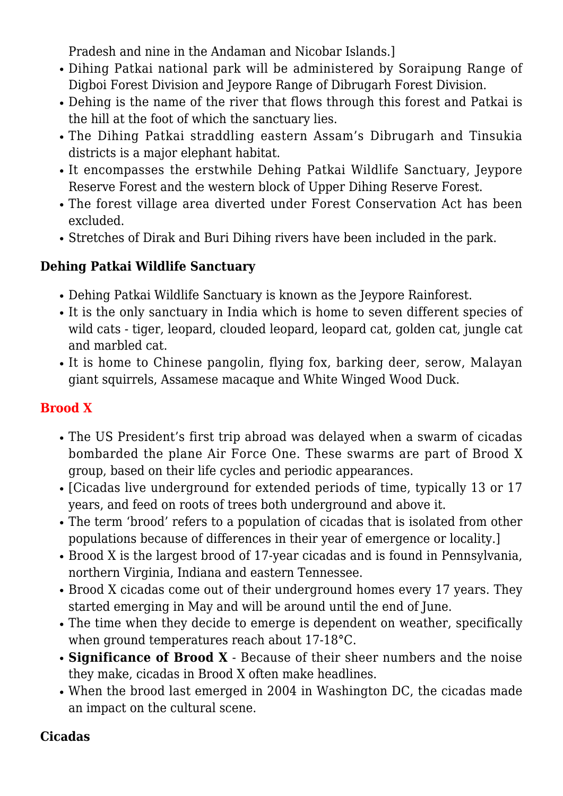Pradesh and nine in the Andaman and Nicobar Islands.]

- Dihing Patkai national park will be administered by Soraipung Range of Digboi Forest Division and Jeypore Range of Dibrugarh Forest Division.
- Dehing is the name of the river that flows through this forest and Patkai is the hill at the foot of which the sanctuary lies.
- The Dihing Patkai straddling eastern Assam's Dibrugarh and Tinsukia districts is a major elephant habitat.
- It encompasses the erstwhile Dehing Patkai Wildlife Sanctuary, Jeypore Reserve Forest and the western block of Upper Dihing Reserve Forest.
- The forest village area diverted under Forest Conservation Act has been excluded.
- Stretches of Dirak and Buri Dihing rivers have been included in the park.

## **Dehing Patkai Wildlife Sanctuary**

- Dehing Patkai Wildlife Sanctuary is known as the Jeypore Rainforest.
- It is the only sanctuary in India which is home to seven different species of wild cats - tiger, leopard, clouded leopard, leopard cat, golden cat, jungle cat and marbled cat.
- It is home to Chinese pangolin, flying fox, barking deer, serow, Malayan giant squirrels, Assamese macaque and White Winged Wood Duck.

#### **Brood X**

- The US President's first trip abroad was delayed when a swarm of cicadas bombarded the plane Air Force One. These swarms are part of Brood X group, based on their life cycles and periodic appearances.
- [Cicadas live underground for extended periods of time, typically 13 or 17 years, and feed on roots of trees both underground and above it.
- The term 'brood' refers to a population of cicadas that is isolated from other populations because of differences in their year of emergence or locality.]
- Brood X is the largest brood of 17-year cicadas and is found in Pennsylvania, northern Virginia, Indiana and eastern Tennessee.
- Brood X cicadas come out of their underground homes every 17 years. They started emerging in May and will be around until the end of June.
- The time when they decide to emerge is dependent on weather, specifically when ground temperatures reach about 17-18°C.
- **Significance of Brood X** Because of their sheer numbers and the noise they make, cicadas in Brood X often make headlines.
- When the brood last emerged in 2004 in Washington DC, the cicadas made an impact on the cultural scene.

#### **Cicadas**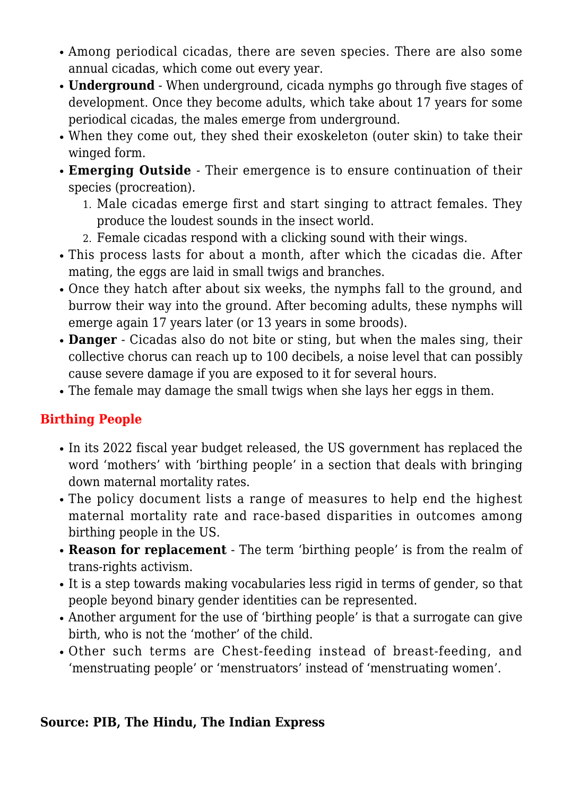- Among periodical cicadas, there are seven species. There are also some annual cicadas, which come out every year.
- **Underground** When underground, cicada nymphs go through five stages of development. Once they become adults, which take about 17 years for some periodical cicadas, the males emerge from underground.
- When they come out, they shed their exoskeleton (outer skin) to take their winged form.
- **Emerging Outside** Their emergence is to ensure continuation of their species (procreation).
	- 1. Male cicadas emerge first and start singing to attract females. They produce the loudest sounds in the insect world.
	- 2. Female cicadas respond with a clicking sound with their wings.
- This process lasts for about a month, after which the cicadas die. After mating, the eggs are laid in small twigs and branches.
- Once they hatch after about six weeks, the nymphs fall to the ground, and burrow their way into the ground. After becoming adults, these nymphs will emerge again 17 years later (or 13 years in some broods).
- **Danger** Cicadas also do not bite or sting, but when the males sing, their collective chorus can reach up to 100 decibels, a noise level that can possibly cause severe damage if you are exposed to it for several hours.
- The female may damage the small twigs when she lays her eggs in them.

#### **Birthing People**

- In its 2022 fiscal year budget released, the US government has replaced the word 'mothers' with 'birthing people' in a section that deals with bringing down maternal mortality rates.
- The policy document lists a range of measures to help end the highest maternal mortality rate and race-based disparities in outcomes among birthing people in the US.
- **Reason for replacement** The term 'birthing people' is from the realm of trans-rights activism.
- It is a step towards making vocabularies less rigid in terms of gender, so that people beyond binary gender identities can be represented.
- Another argument for the use of 'birthing people' is that a surrogate can give birth, who is not the 'mother' of the child.
- Other such terms are Chest-feeding instead of breast-feeding, and 'menstruating people' or 'menstruators' instead of 'menstruating women'.

#### **Source: PIB, The Hindu, The Indian Express**